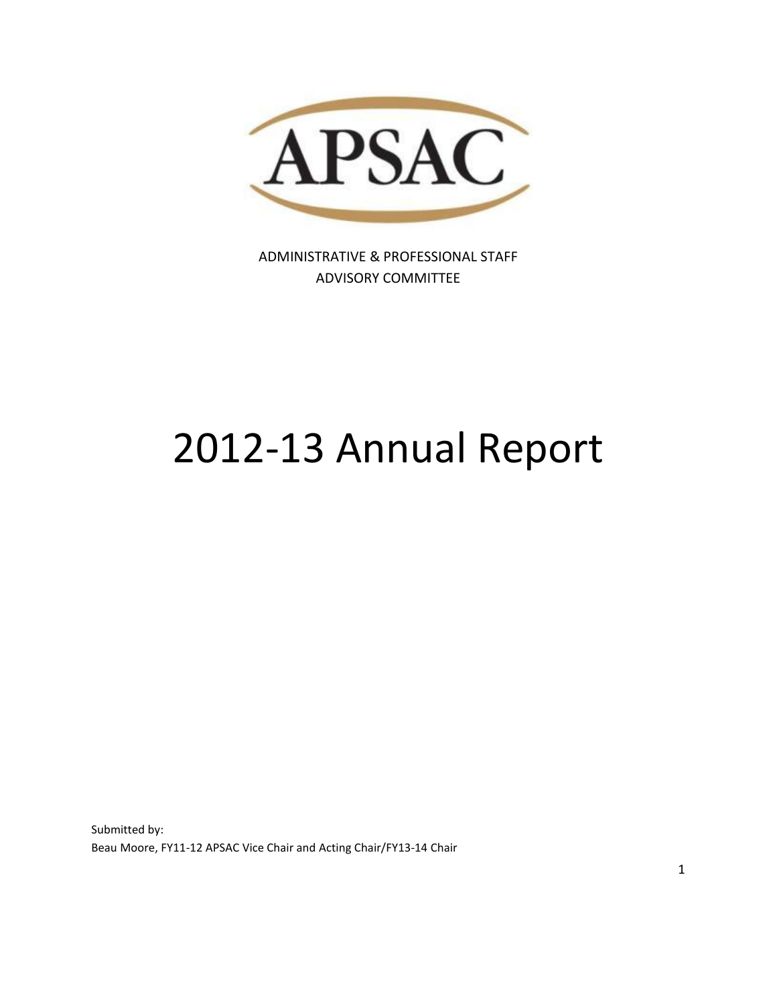

ADMINISTRATIVE & PROFESSIONAL STAFF ADVISORY COMMITTEE

# 2012-13 Annual Report

Submitted by: Beau Moore, FY11-12 APSAC Vice Chair and Acting Chair/FY13-14 Chair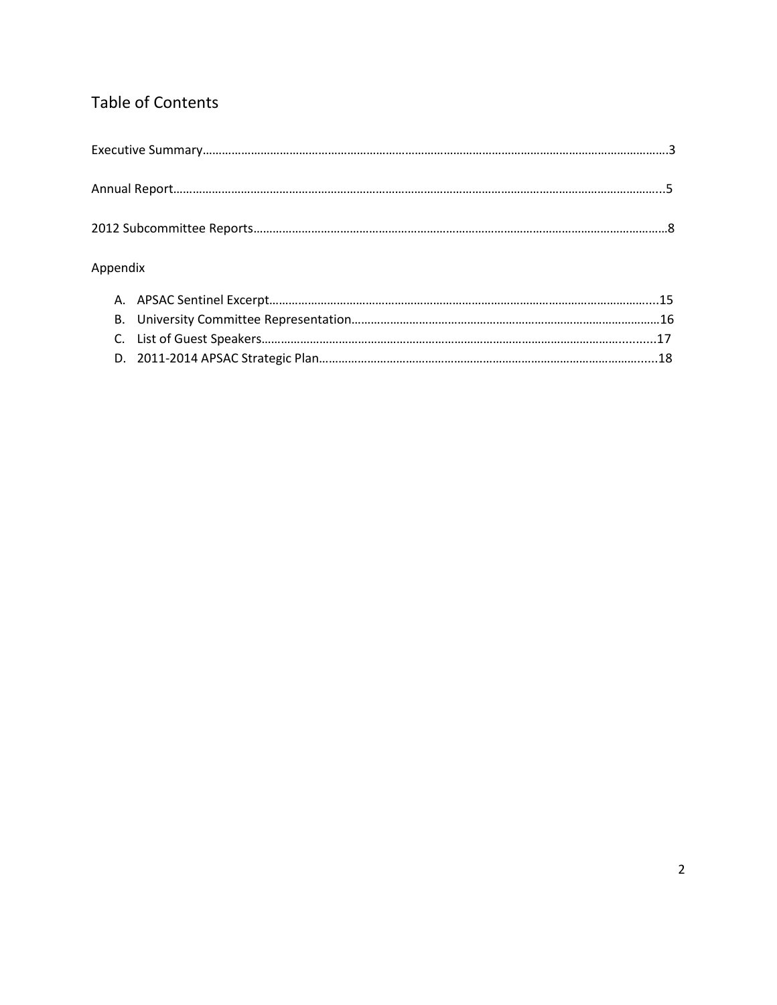## Table of Contents

| Appendix |  |  |
|----------|--|--|
|          |  |  |
|          |  |  |
|          |  |  |
|          |  |  |
|          |  |  |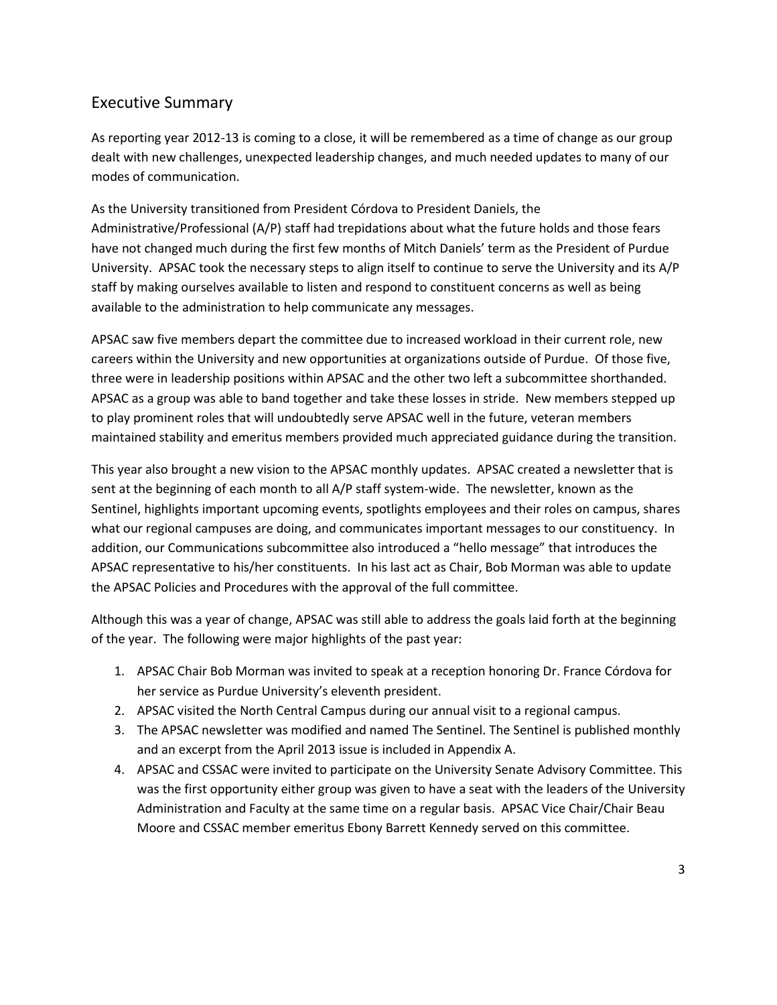## Executive Summary

As reporting year 2012-13 is coming to a close, it will be remembered as a time of change as our group dealt with new challenges, unexpected leadership changes, and much needed updates to many of our modes of communication.

As the University transitioned from President Córdova to President Daniels, the Administrative/Professional (A/P) staff had trepidations about what the future holds and those fears have not changed much during the first few months of Mitch Daniels' term as the President of Purdue University. APSAC took the necessary steps to align itself to continue to serve the University and its A/P staff by making ourselves available to listen and respond to constituent concerns as well as being available to the administration to help communicate any messages.

APSAC saw five members depart the committee due to increased workload in their current role, new careers within the University and new opportunities at organizations outside of Purdue. Of those five, three were in leadership positions within APSAC and the other two left a subcommittee shorthanded. APSAC as a group was able to band together and take these losses in stride. New members stepped up to play prominent roles that will undoubtedly serve APSAC well in the future, veteran members maintained stability and emeritus members provided much appreciated guidance during the transition.

This year also brought a new vision to the APSAC monthly updates. APSAC created a newsletter that is sent at the beginning of each month to all A/P staff system-wide. The newsletter, known as the Sentinel, highlights important upcoming events, spotlights employees and their roles on campus, shares what our regional campuses are doing, and communicates important messages to our constituency. In addition, our Communications subcommittee also introduced a "hello message" that introduces the APSAC representative to his/her constituents. In his last act as Chair, Bob Morman was able to update the APSAC Policies and Procedures with the approval of the full committee.

Although this was a year of change, APSAC was still able to address the goals laid forth at the beginning of the year. The following were major highlights of the past year:

- 1. APSAC Chair Bob Morman was invited to speak at a reception honoring Dr. France Córdova for her service as Purdue University's eleventh president.
- 2. APSAC visited the North Central Campus during our annual visit to a regional campus.
- 3. The APSAC newsletter was modified and named The Sentinel. The Sentinel is published monthly and an excerpt from the April 2013 issue is included in Appendix A.
- 4. APSAC and CSSAC were invited to participate on the University Senate Advisory Committee. This was the first opportunity either group was given to have a seat with the leaders of the University Administration and Faculty at the same time on a regular basis. APSAC Vice Chair/Chair Beau Moore and CSSAC member emeritus Ebony Barrett Kennedy served on this committee.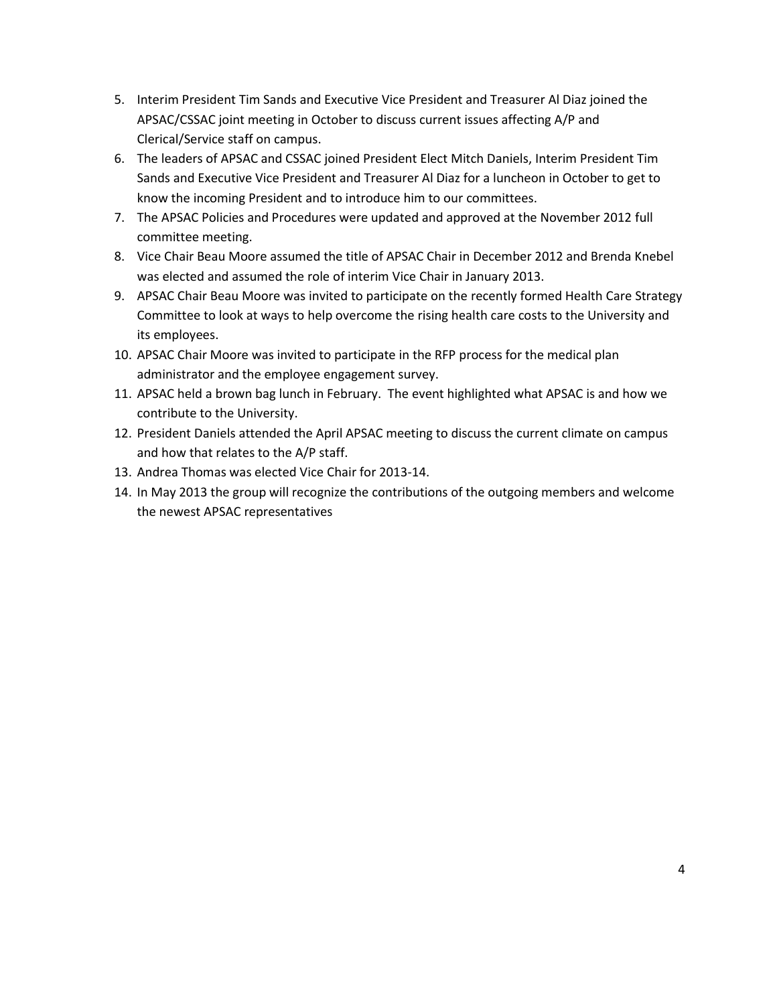- 5. Interim President Tim Sands and Executive Vice President and Treasurer Al Diaz joined the APSAC/CSSAC joint meeting in October to discuss current issues affecting A/P and Clerical/Service staff on campus.
- 6. The leaders of APSAC and CSSAC joined President Elect Mitch Daniels, Interim President Tim Sands and Executive Vice President and Treasurer Al Diaz for a luncheon in October to get to know the incoming President and to introduce him to our committees.
- 7. The APSAC Policies and Procedures were updated and approved at the November 2012 full committee meeting.
- 8. Vice Chair Beau Moore assumed the title of APSAC Chair in December 2012 and Brenda Knebel was elected and assumed the role of interim Vice Chair in January 2013.
- 9. APSAC Chair Beau Moore was invited to participate on the recently formed Health Care Strategy Committee to look at ways to help overcome the rising health care costs to the University and its employees.
- 10. APSAC Chair Moore was invited to participate in the RFP process for the medical plan administrator and the employee engagement survey.
- 11. APSAC held a brown bag lunch in February. The event highlighted what APSAC is and how we contribute to the University.
- 12. President Daniels attended the April APSAC meeting to discuss the current climate on campus and how that relates to the A/P staff.
- 13. Andrea Thomas was elected Vice Chair for 2013-14.
- 14. In May 2013 the group will recognize the contributions of the outgoing members and welcome the newest APSAC representatives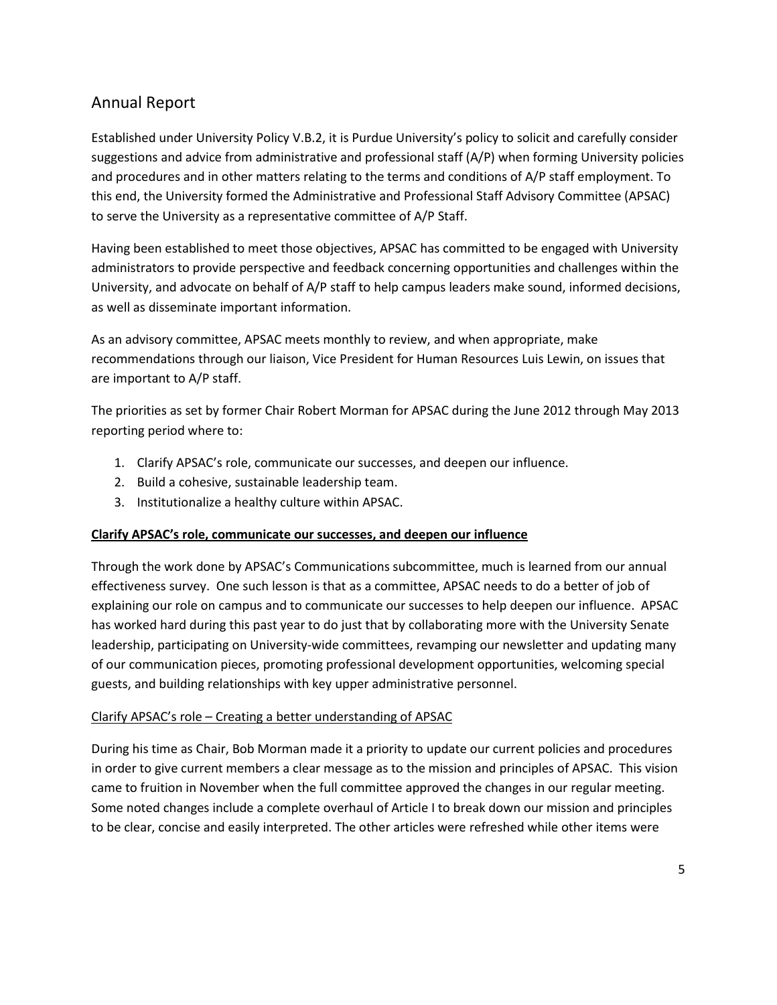## Annual Report

Established under University Policy V.B.2, it is Purdue University's policy to solicit and carefully consider suggestions and advice from administrative and professional staff (A/P) when forming University policies and procedures and in other matters relating to the terms and conditions of A/P staff employment. To this end, the University formed the Administrative and Professional Staff Advisory Committee (APSAC) to serve the University as a representative committee of A/P Staff.

Having been established to meet those objectives, APSAC has committed to be engaged with University administrators to provide perspective and feedback concerning opportunities and challenges within the University, and advocate on behalf of A/P staff to help campus leaders make sound, informed decisions, as well as disseminate important information.

As an advisory committee, APSAC meets monthly to review, and when appropriate, make recommendations through our liaison, Vice President for Human Resources Luis Lewin, on issues that are important to A/P staff.

The priorities as set by former Chair Robert Morman for APSAC during the June 2012 through May 2013 reporting period where to:

- 1. Clarify APSAC's role, communicate our successes, and deepen our influence.
- 2. Build a cohesive, sustainable leadership team.
- 3. Institutionalize a healthy culture within APSAC.

#### **Clarify APSAC's role, communicate our successes, and deepen our influence**

Through the work done by APSAC's Communications subcommittee, much is learned from our annual effectiveness survey. One such lesson is that as a committee, APSAC needs to do a better of job of explaining our role on campus and to communicate our successes to help deepen our influence. APSAC has worked hard during this past year to do just that by collaborating more with the University Senate leadership, participating on University-wide committees, revamping our newsletter and updating many of our communication pieces, promoting professional development opportunities, welcoming special guests, and building relationships with key upper administrative personnel.

#### Clarify APSAC's role – Creating a better understanding of APSAC

During his time as Chair, Bob Morman made it a priority to update our current policies and procedures in order to give current members a clear message as to the mission and principles of APSAC. This vision came to fruition in November when the full committee approved the changes in our regular meeting. Some noted changes include a complete overhaul of Article I to break down our mission and principles to be clear, concise and easily interpreted. The other articles were refreshed while other items were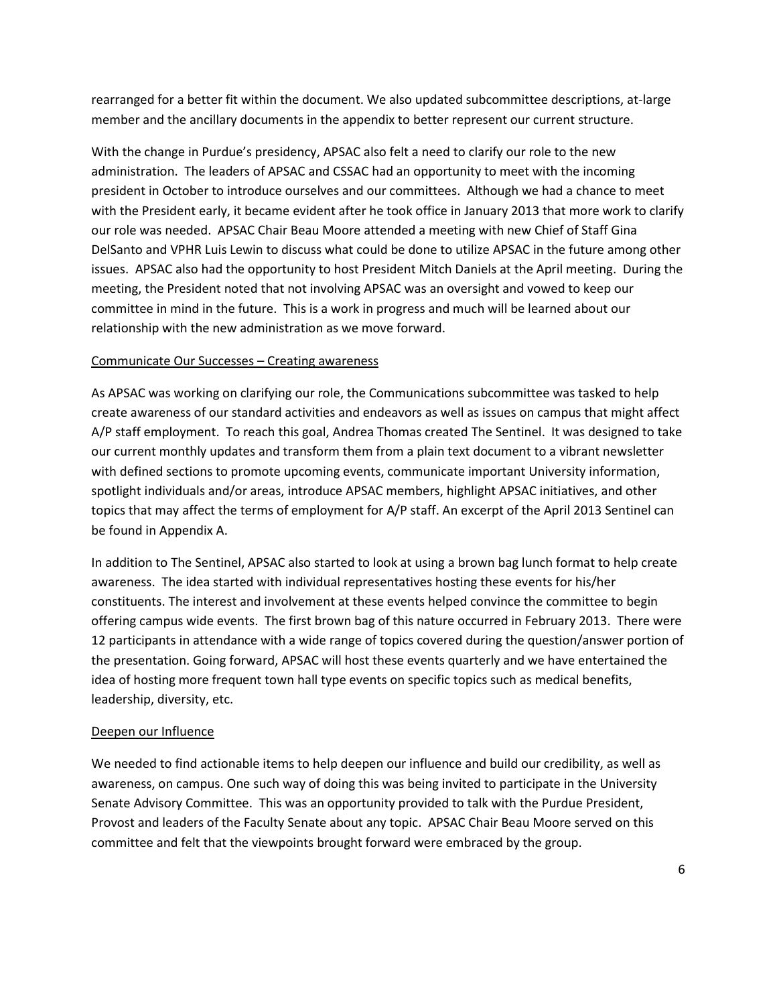rearranged for a better fit within the document. We also updated subcommittee descriptions, at-large member and the ancillary documents in the appendix to better represent our current structure.

With the change in Purdue's presidency, APSAC also felt a need to clarify our role to the new administration. The leaders of APSAC and CSSAC had an opportunity to meet with the incoming president in October to introduce ourselves and our committees. Although we had a chance to meet with the President early, it became evident after he took office in January 2013 that more work to clarify our role was needed. APSAC Chair Beau Moore attended a meeting with new Chief of Staff Gina DelSanto and VPHR Luis Lewin to discuss what could be done to utilize APSAC in the future among other issues. APSAC also had the opportunity to host President Mitch Daniels at the April meeting. During the meeting, the President noted that not involving APSAC was an oversight and vowed to keep our committee in mind in the future. This is a work in progress and much will be learned about our relationship with the new administration as we move forward.

#### Communicate Our Successes – Creating awareness

As APSAC was working on clarifying our role, the Communications subcommittee was tasked to help create awareness of our standard activities and endeavors as well as issues on campus that might affect A/P staff employment. To reach this goal, Andrea Thomas created The Sentinel. It was designed to take our current monthly updates and transform them from a plain text document to a vibrant newsletter with defined sections to promote upcoming events, communicate important University information, spotlight individuals and/or areas, introduce APSAC members, highlight APSAC initiatives, and other topics that may affect the terms of employment for A/P staff. An excerpt of the April 2013 Sentinel can be found in Appendix A.

In addition to The Sentinel, APSAC also started to look at using a brown bag lunch format to help create awareness. The idea started with individual representatives hosting these events for his/her constituents. The interest and involvement at these events helped convince the committee to begin offering campus wide events. The first brown bag of this nature occurred in February 2013. There were 12 participants in attendance with a wide range of topics covered during the question/answer portion of the presentation. Going forward, APSAC will host these events quarterly and we have entertained the idea of hosting more frequent town hall type events on specific topics such as medical benefits, leadership, diversity, etc.

#### Deepen our Influence

We needed to find actionable items to help deepen our influence and build our credibility, as well as awareness, on campus. One such way of doing this was being invited to participate in the University Senate Advisory Committee. This was an opportunity provided to talk with the Purdue President, Provost and leaders of the Faculty Senate about any topic. APSAC Chair Beau Moore served on this committee and felt that the viewpoints brought forward were embraced by the group.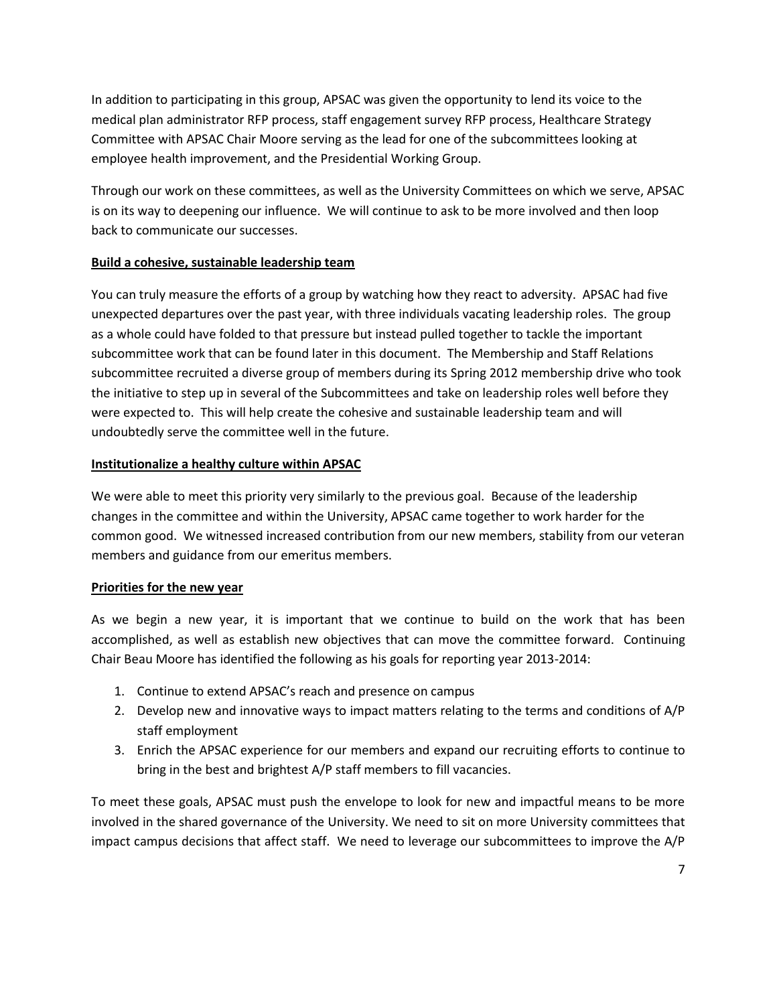In addition to participating in this group, APSAC was given the opportunity to lend its voice to the medical plan administrator RFP process, staff engagement survey RFP process, Healthcare Strategy Committee with APSAC Chair Moore serving as the lead for one of the subcommittees looking at employee health improvement, and the Presidential Working Group.

Through our work on these committees, as well as the University Committees on which we serve, APSAC is on its way to deepening our influence. We will continue to ask to be more involved and then loop back to communicate our successes.

#### **Build a cohesive, sustainable leadership team**

You can truly measure the efforts of a group by watching how they react to adversity. APSAC had five unexpected departures over the past year, with three individuals vacating leadership roles. The group as a whole could have folded to that pressure but instead pulled together to tackle the important subcommittee work that can be found later in this document. The Membership and Staff Relations subcommittee recruited a diverse group of members during its Spring 2012 membership drive who took the initiative to step up in several of the Subcommittees and take on leadership roles well before they were expected to. This will help create the cohesive and sustainable leadership team and will undoubtedly serve the committee well in the future.

#### **Institutionalize a healthy culture within APSAC**

We were able to meet this priority very similarly to the previous goal. Because of the leadership changes in the committee and within the University, APSAC came together to work harder for the common good. We witnessed increased contribution from our new members, stability from our veteran members and guidance from our emeritus members.

#### **Priorities for the new year**

As we begin a new year, it is important that we continue to build on the work that has been accomplished, as well as establish new objectives that can move the committee forward. Continuing Chair Beau Moore has identified the following as his goals for reporting year 2013-2014:

- 1. Continue to extend APSAC's reach and presence on campus
- 2. Develop new and innovative ways to impact matters relating to the terms and conditions of A/P staff employment
- 3. Enrich the APSAC experience for our members and expand our recruiting efforts to continue to bring in the best and brightest A/P staff members to fill vacancies.

To meet these goals, APSAC must push the envelope to look for new and impactful means to be more involved in the shared governance of the University. We need to sit on more University committees that impact campus decisions that affect staff. We need to leverage our subcommittees to improve the A/P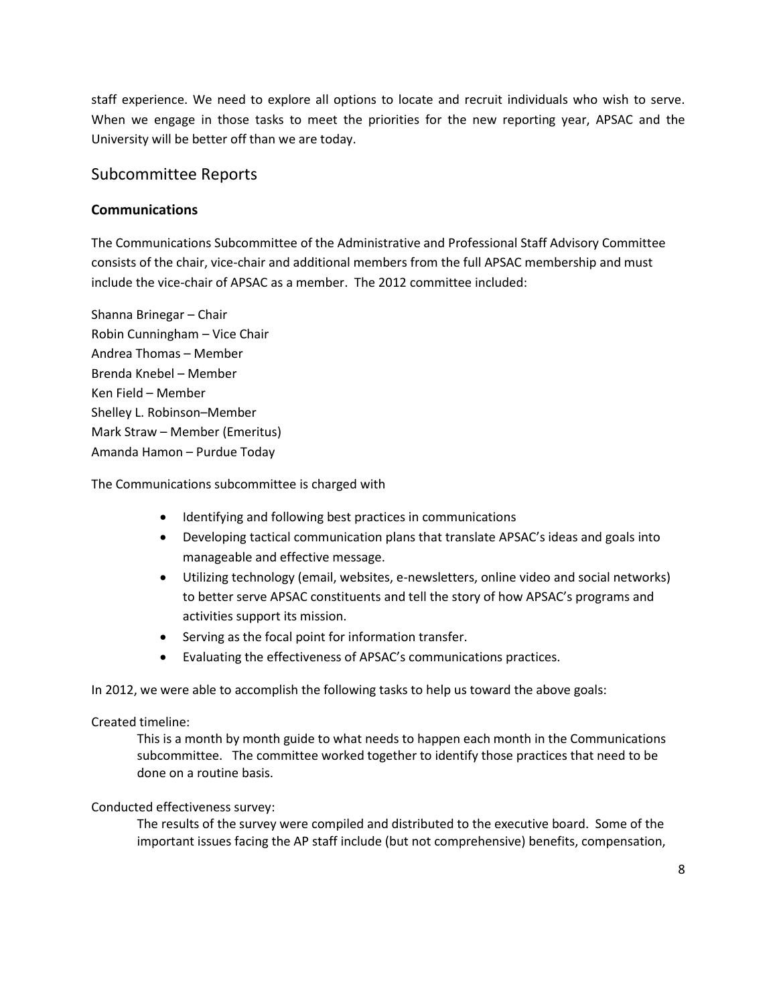staff experience. We need to explore all options to locate and recruit individuals who wish to serve. When we engage in those tasks to meet the priorities for the new reporting year, APSAC and the University will be better off than we are today.

## Subcommittee Reports

#### **Communications**

The Communications Subcommittee of the Administrative and Professional Staff Advisory Committee consists of the chair, vice-chair and additional members from the full APSAC membership and must include the vice-chair of APSAC as a member. The 2012 committee included:

Shanna Brinegar – Chair Robin Cunningham – Vice Chair Andrea Thomas – Member Brenda Knebel – Member Ken Field – Member Shelley L. Robinson–Member Mark Straw – Member (Emeritus) Amanda Hamon – Purdue Today

The Communications subcommittee is charged with

- Identifying and following best practices in communications
- Developing tactical communication plans that translate APSAC's ideas and goals into manageable and effective message.
- Utilizing technology (email, websites, e-newsletters, online video and social networks) to better serve APSAC constituents and tell the story of how APSAC's programs and activities support its mission.
- Serving as the focal point for information transfer.
- Evaluating the effectiveness of APSAC's communications practices.

In 2012, we were able to accomplish the following tasks to help us toward the above goals:

#### Created timeline:

This is a month by month guide to what needs to happen each month in the Communications subcommittee. The committee worked together to identify those practices that need to be done on a routine basis.

#### Conducted effectiveness survey:

The results of the survey were compiled and distributed to the executive board. Some of the important issues facing the AP staff include (but not comprehensive) benefits, compensation,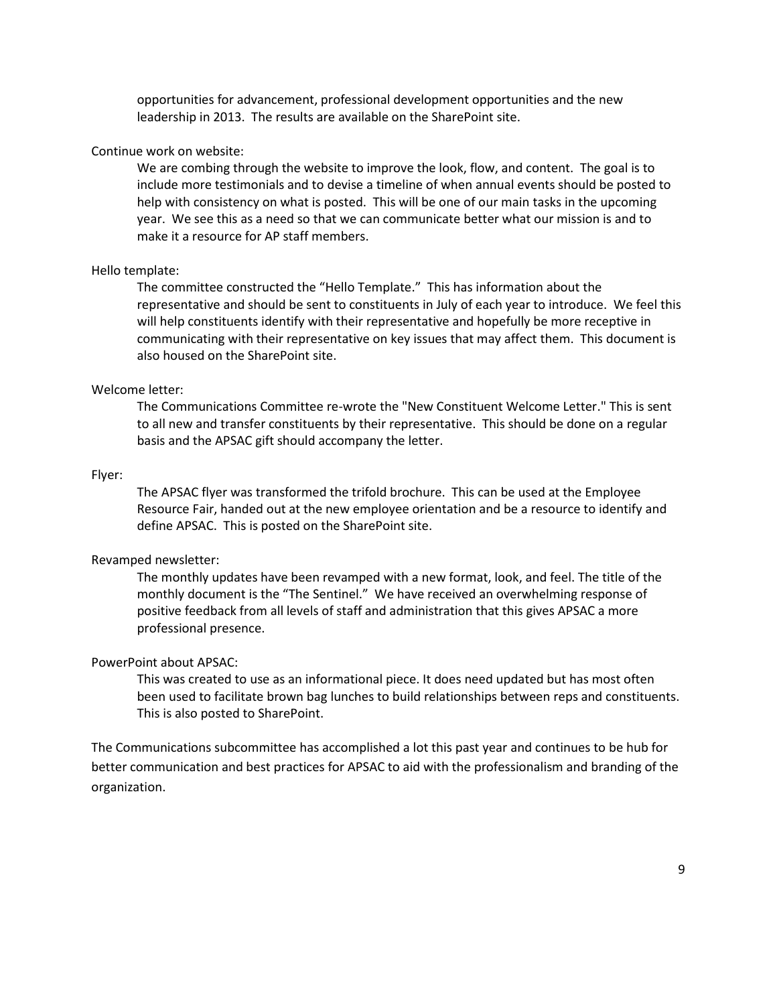opportunities for advancement, professional development opportunities and the new leadership in 2013. The results are available on the SharePoint site.

#### Continue work on website:

We are combing through the website to improve the look, flow, and content. The goal is to include more testimonials and to devise a timeline of when annual events should be posted to help with consistency on what is posted. This will be one of our main tasks in the upcoming year. We see this as a need so that we can communicate better what our mission is and to make it a resource for AP staff members.

#### Hello template:

The committee constructed the "Hello Template." This has information about the representative and should be sent to constituents in July of each year to introduce. We feel this will help constituents identify with their representative and hopefully be more receptive in communicating with their representative on key issues that may affect them. This document is also housed on the SharePoint site.

#### Welcome letter:

The Communications Committee re-wrote the "New Constituent Welcome Letter." This is sent to all new and transfer constituents by their representative. This should be done on a regular basis and the APSAC gift should accompany the letter.

#### Flyer:

The APSAC flyer was transformed the trifold brochure. This can be used at the Employee Resource Fair, handed out at the new employee orientation and be a resource to identify and define APSAC. This is posted on the SharePoint site.

#### Revamped newsletter:

The monthly updates have been revamped with a new format, look, and feel. The title of the monthly document is the "The Sentinel." We have received an overwhelming response of positive feedback from all levels of staff and administration that this gives APSAC a more professional presence.

#### PowerPoint about APSAC:

This was created to use as an informational piece. It does need updated but has most often been used to facilitate brown bag lunches to build relationships between reps and constituents. This is also posted to SharePoint.

The Communications subcommittee has accomplished a lot this past year and continues to be hub for better communication and best practices for APSAC to aid with the professionalism and branding of the organization.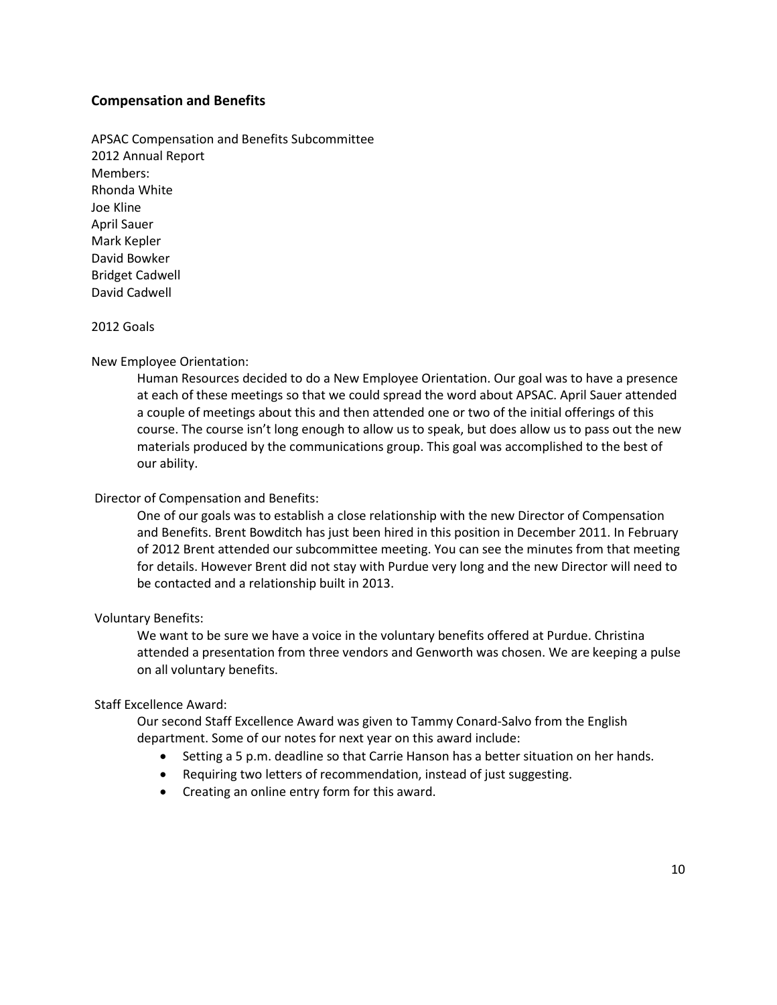#### **Compensation and Benefits**

APSAC Compensation and Benefits Subcommittee 2012 Annual Report Members: Rhonda White Joe Kline April Sauer Mark Kepler David Bowker Bridget Cadwell David Cadwell

#### 2012 Goals

#### New Employee Orientation:

Human Resources decided to do a New Employee Orientation. Our goal was to have a presence at each of these meetings so that we could spread the word about APSAC. April Sauer attended a couple of meetings about this and then attended one or two of the initial offerings of this course. The course isn't long enough to allow us to speak, but does allow us to pass out the new materials produced by the communications group. This goal was accomplished to the best of our ability.

#### Director of Compensation and Benefits:

One of our goals was to establish a close relationship with the new Director of Compensation and Benefits. Brent Bowditch has just been hired in this position in December 2011. In February of 2012 Brent attended our subcommittee meeting. You can see the minutes from that meeting for details. However Brent did not stay with Purdue very long and the new Director will need to be contacted and a relationship built in 2013.

#### Voluntary Benefits:

We want to be sure we have a voice in the voluntary benefits offered at Purdue. Christina attended a presentation from three vendors and Genworth was chosen. We are keeping a pulse on all voluntary benefits.

#### Staff Excellence Award:

Our second Staff Excellence Award was given to Tammy Conard-Salvo from the English department. Some of our notes for next year on this award include:

- Setting a 5 p.m. deadline so that Carrie Hanson has a better situation on her hands.
- Requiring two letters of recommendation, instead of just suggesting.
- Creating an online entry form for this award.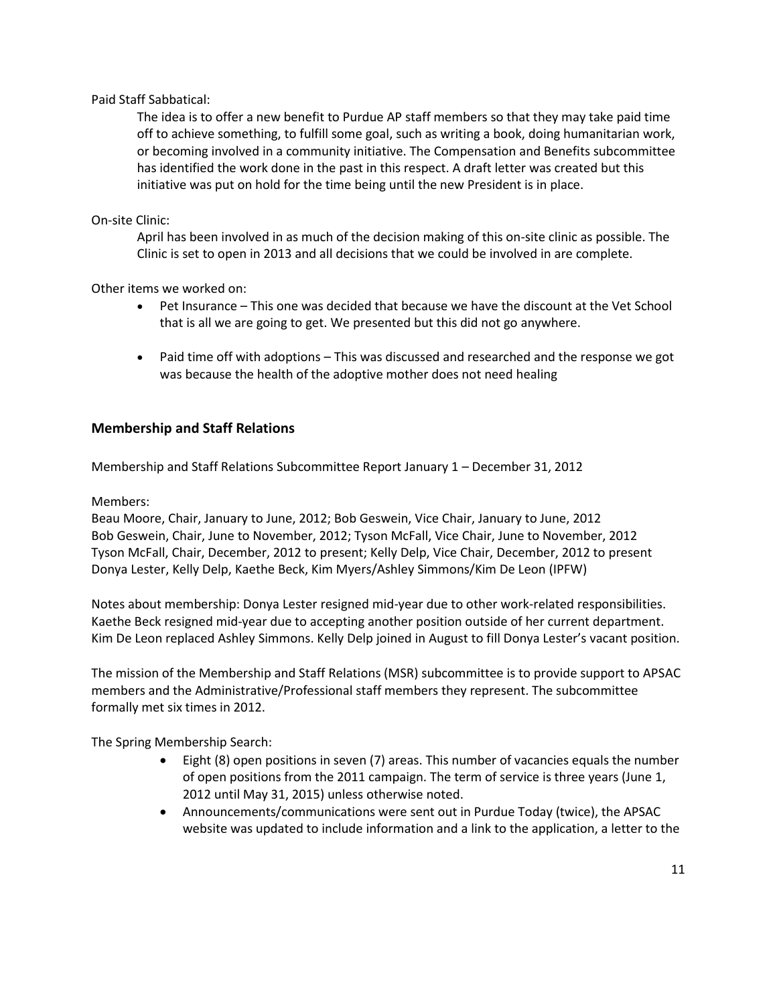#### Paid Staff Sabbatical:

The idea is to offer a new benefit to Purdue AP staff members so that they may take paid time off to achieve something, to fulfill some goal, such as writing a book, doing humanitarian work, or becoming involved in a community initiative. The Compensation and Benefits subcommittee has identified the work done in the past in this respect. A draft letter was created but this initiative was put on hold for the time being until the new President is in place.

#### On-site Clinic:

April has been involved in as much of the decision making of this on-site clinic as possible. The Clinic is set to open in 2013 and all decisions that we could be involved in are complete.

Other items we worked on:

- Pet Insurance This one was decided that because we have the discount at the Vet School that is all we are going to get. We presented but this did not go anywhere.
- Paid time off with adoptions This was discussed and researched and the response we got was because the health of the adoptive mother does not need healing

#### **Membership and Staff Relations**

Membership and Staff Relations Subcommittee Report January 1 – December 31, 2012

Members:

Beau Moore, Chair, January to June, 2012; Bob Geswein, Vice Chair, January to June, 2012 Bob Geswein, Chair, June to November, 2012; Tyson McFall, Vice Chair, June to November, 2012 Tyson McFall, Chair, December, 2012 to present; Kelly Delp, Vice Chair, December, 2012 to present Donya Lester, Kelly Delp, Kaethe Beck, Kim Myers/Ashley Simmons/Kim De Leon (IPFW)

Notes about membership: Donya Lester resigned mid-year due to other work-related responsibilities. Kaethe Beck resigned mid-year due to accepting another position outside of her current department. Kim De Leon replaced Ashley Simmons. Kelly Delp joined in August to fill Donya Lester's vacant position.

The mission of the Membership and Staff Relations (MSR) subcommittee is to provide support to APSAC members and the Administrative/Professional staff members they represent. The subcommittee formally met six times in 2012.

The Spring Membership Search:

- Eight (8) open positions in seven (7) areas. This number of vacancies equals the number of open positions from the 2011 campaign. The term of service is three years (June 1, 2012 until May 31, 2015) unless otherwise noted.
- Announcements/communications were sent out in Purdue Today (twice), the APSAC website was updated to include information and a link to the application, a letter to the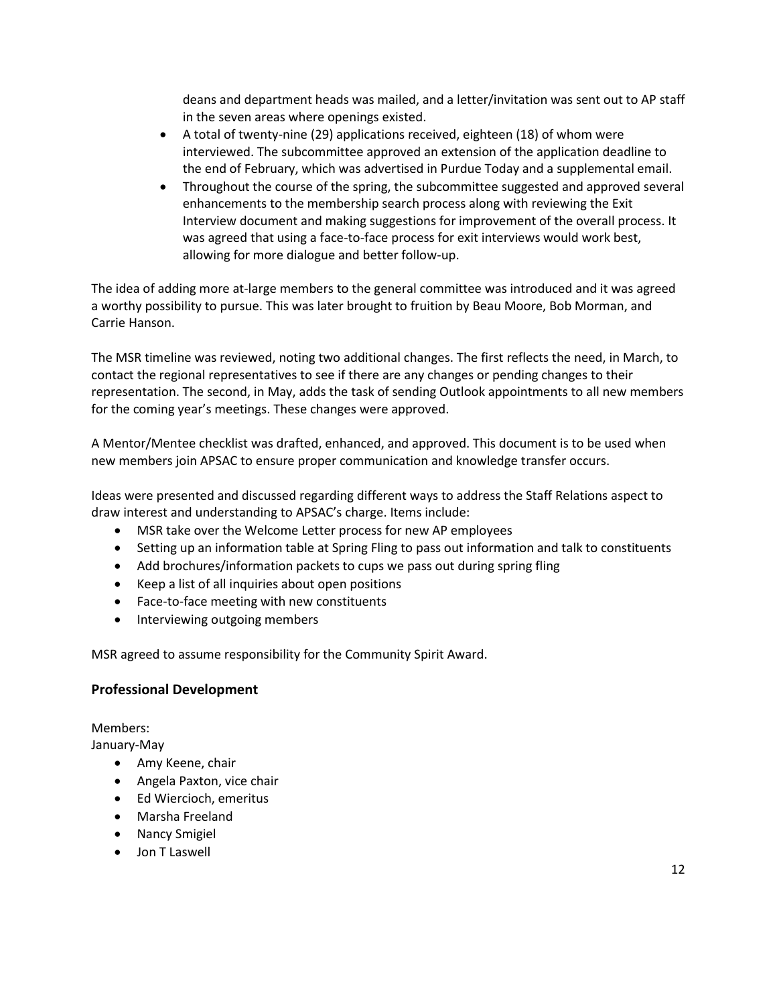deans and department heads was mailed, and a letter/invitation was sent out to AP staff in the seven areas where openings existed.

- A total of twenty-nine (29) applications received, eighteen (18) of whom were interviewed. The subcommittee approved an extension of the application deadline to the end of February, which was advertised in Purdue Today and a supplemental email.
- Throughout the course of the spring, the subcommittee suggested and approved several enhancements to the membership search process along with reviewing the Exit Interview document and making suggestions for improvement of the overall process. It was agreed that using a face-to-face process for exit interviews would work best, allowing for more dialogue and better follow-up.

The idea of adding more at-large members to the general committee was introduced and it was agreed a worthy possibility to pursue. This was later brought to fruition by Beau Moore, Bob Morman, and Carrie Hanson.

The MSR timeline was reviewed, noting two additional changes. The first reflects the need, in March, to contact the regional representatives to see if there are any changes or pending changes to their representation. The second, in May, adds the task of sending Outlook appointments to all new members for the coming year's meetings. These changes were approved.

A Mentor/Mentee checklist was drafted, enhanced, and approved. This document is to be used when new members join APSAC to ensure proper communication and knowledge transfer occurs.

Ideas were presented and discussed regarding different ways to address the Staff Relations aspect to draw interest and understanding to APSAC's charge. Items include:

- MSR take over the Welcome Letter process for new AP employees
- Setting up an information table at Spring Fling to pass out information and talk to constituents
- Add brochures/information packets to cups we pass out during spring fling
- Keep a list of all inquiries about open positions
- Face-to-face meeting with new constituents
- Interviewing outgoing members

MSR agreed to assume responsibility for the Community Spirit Award.

#### **Professional Development**

Members:

January-May

- Amy Keene, chair
- Angela Paxton, vice chair
- Ed Wiercioch, emeritus
- Marsha Freeland
- Nancy Smigiel
- Jon T Laswell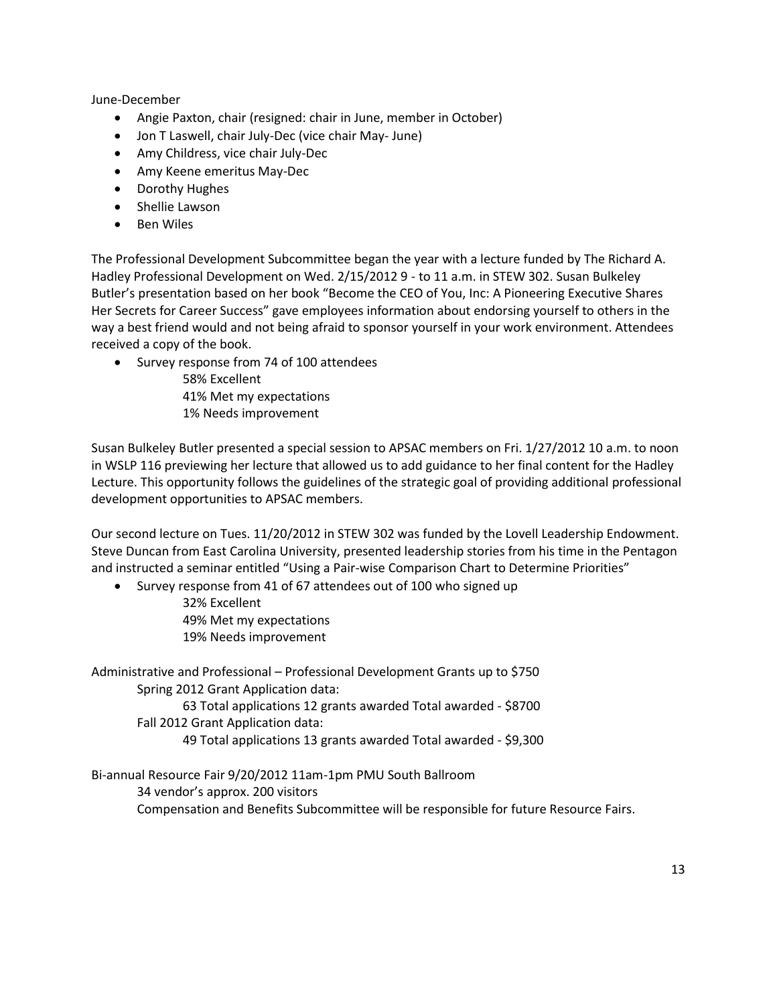June-December

- Angie Paxton, chair (resigned: chair in June, member in October)
- Jon T Laswell, chair July-Dec (vice chair May- June)
- Amy Childress, vice chair July-Dec
- Amy Keene emeritus May-Dec
- Dorothy Hughes
- Shellie Lawson
- Ben Wiles

The Professional Development Subcommittee began the year with a lecture funded by The Richard A. Hadley Professional Development on Wed. 2/15/2012 9 - to 11 a.m. in STEW 302. Susan Bulkeley Butler's presentation based on her book "Become the CEO of You, Inc: A Pioneering Executive Shares Her Secrets for Career Success" gave employees information about endorsing yourself to others in the way a best friend would and not being afraid to sponsor yourself in your work environment. Attendees received a copy of the book.

Survey response from 74 of 100 attendees

58% Excellent 41% Met my expectations 1% Needs improvement

Susan Bulkeley Butler presented a special session to APSAC members on Fri. 1/27/2012 10 a.m. to noon in WSLP 116 previewing her lecture that allowed us to add guidance to her final content for the Hadley Lecture. This opportunity follows the guidelines of the strategic goal of providing additional professional development opportunities to APSAC members.

Our second lecture on Tues. 11/20/2012 in STEW 302 was funded by the Lovell Leadership Endowment. Steve Duncan from East Carolina University, presented leadership stories from his time in the Pentagon and instructed a seminar entitled "Using a Pair-wise Comparison Chart to Determine Priorities"

• Survey response from 41 of 67 attendees out of 100 who signed up

32% Excellent 49% Met my expectations 19% Needs improvement

Administrative and Professional – Professional Development Grants up to \$750 Spring 2012 Grant Application data: 63 Total applications 12 grants awarded Total awarded - \$8700 Fall 2012 Grant Application data: 49 Total applications 13 grants awarded Total awarded - \$9,300

Bi-annual Resource Fair 9/20/2012 11am-1pm PMU South Ballroom 34 vendor's approx. 200 visitors Compensation and Benefits Subcommittee will be responsible for future Resource Fairs.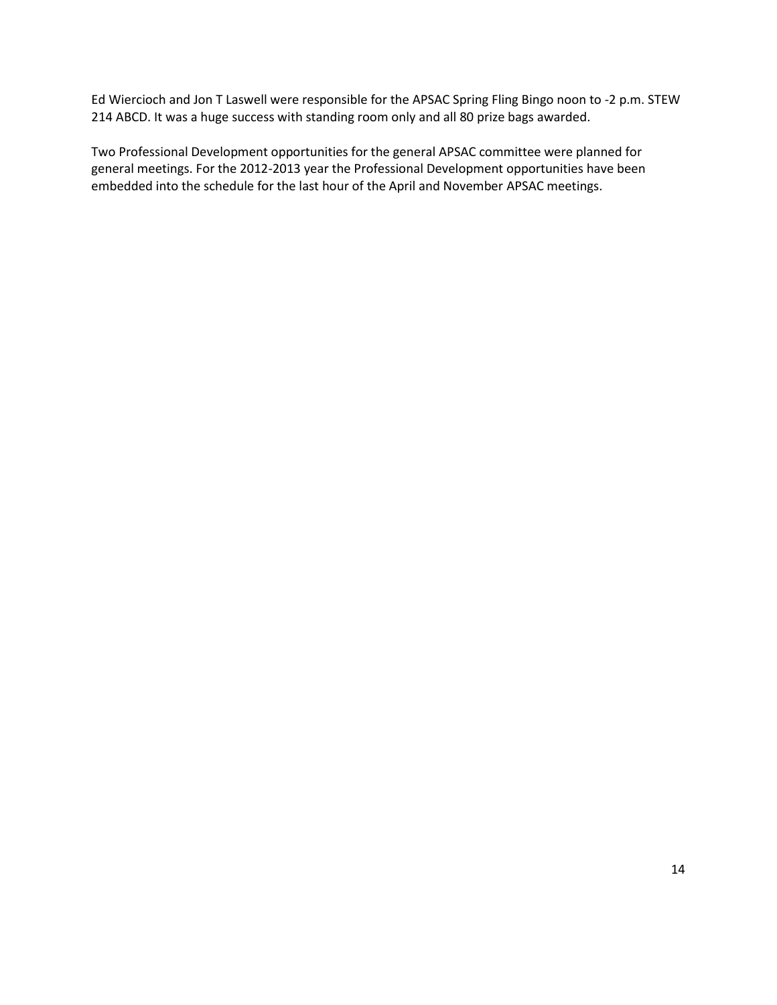Ed Wiercioch and Jon T Laswell were responsible for the APSAC Spring Fling Bingo noon to -2 p.m. STEW 214 ABCD. It was a huge success with standing room only and all 80 prize bags awarded.

Two Professional Development opportunities for the general APSAC committee were planned for general meetings. For the 2012-2013 year the Professional Development opportunities have been embedded into the schedule for the last hour of the April and November APSAC meetings.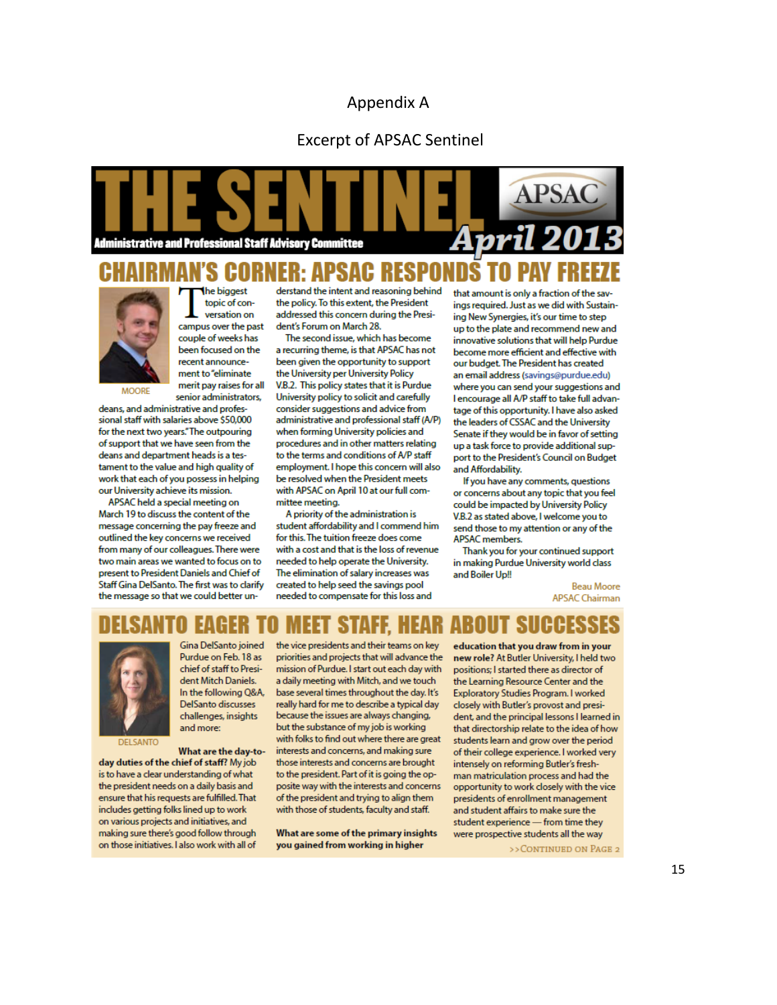#### Appendix A

#### Excerpt of APSAC Sentinel





he biagest topic of conversation on campus over the past couple of weeks has been focused on the recent announcement to "eliminate

merit pay raises for all

Gina DelSanto joined

Purdue on Feb. 18 as

chief of staff to Presi-

dent Mitch Daniels.

**DelSanto discusses** 

challenges, insights

and more:

In the following Q&A,

senior administrators.

**MOORE** 

deans, and administrative and professional staff with salaries above \$50,000 for the next two years." The outpouring of support that we have seen from the deans and department heads is a testament to the value and high quality of work that each of you possess in helping our University achieve its mission.

APSAC held a special meeting on March 19 to discuss the content of the message concerning the pay freeze and outlined the key concerns we received from many of our colleagues. There were two main areas we wanted to focus on to present to President Daniels and Chief of Staff Gina DelSanto. The first was to clarify the message so that we could better un-

derstand the intent and reasoning behind the policy. To this extent, the President addressed this concern during the President's Forum on March 28

The second issue, which has become a recurring theme, is that APSAC has not been given the opportunity to support the University per University Policy V.B.2. This policy states that it is Purdue University policy to solicit and carefully consider suggestions and advice from administrative and professional staff (A/P) when forming University policies and procedures and in other matters relating to the terms and conditions of A/P staff employment. I hope this concern will also be resolved when the President meets with APSAC on April 10 at our full committee meeting.

A priority of the administration is student affordability and I commend him for this. The tuition freeze does come with a cost and that is the loss of revenue needed to help operate the University. The elimination of salary increases was created to help seed the savings pool needed to compensate for this loss and

that amount is only a fraction of the sayings required. Just as we did with Sustaining New Synergies, it's our time to step up to the plate and recommend new and innovative solutions that will help Purdue become more efficient and effective with our budget. The President has created an email address (savings@purdue.edu) where you can send your suggestions and I encourage all A/P staff to take full advantage of this opportunity. I have also asked the leaders of CSSAC and the University Senate if they would be in favor of setting up a task force to provide additional support to the President's Council on Budget and Affordability.

If you have any comments, questions or concerns about any topic that you feel could be impacted by University Policy V.B.2 as stated above, I welcome you to send those to my attention or any of the **APSAC** members.

Thank you for your continued support in making Purdue University world class and Boiler Up!!

> **Beau Moore ADSAC Chairman**



What are the day-today duties of the chief of staff? My job is to have a clear understanding of what the president needs on a daily basis and ensure that his requests are fulfilled. That includes getting folks lined up to work on various projects and initiatives, and making sure there's good follow through on those initiatives. I also work with all of

the vice presidents and their teams on key priorities and projects that will advance the mission of Purdue. I start out each day with a daily meeting with Mitch, and we touch base several times throughout the day. It's really hard for me to describe a typical day because the issues are always changing. but the substance of my job is working with folks to find out where there are great interests and concerns, and making sure those interests and concerns are brought to the president. Part of it is going the opposite way with the interests and concerns of the president and trying to align them with those of students, faculty and staff.

What are some of the primary insights you gained from working in higher

education that you draw from in your new role? At Butler University, I held two positions; I started there as director of the Learning Resource Center and the Exploratory Studies Program. I worked closely with Butler's provost and president, and the principal lessons I learned in that directorship relate to the idea of how students learn and grow over the period of their college experience. I worked very intensely on reforming Butler's freshman matriculation process and had the opportunity to work closely with the vice presidents of enrollment management and student affairs to make sure the student experience - from time they were prospective students all the way >> CONTINUED ON PAGE 2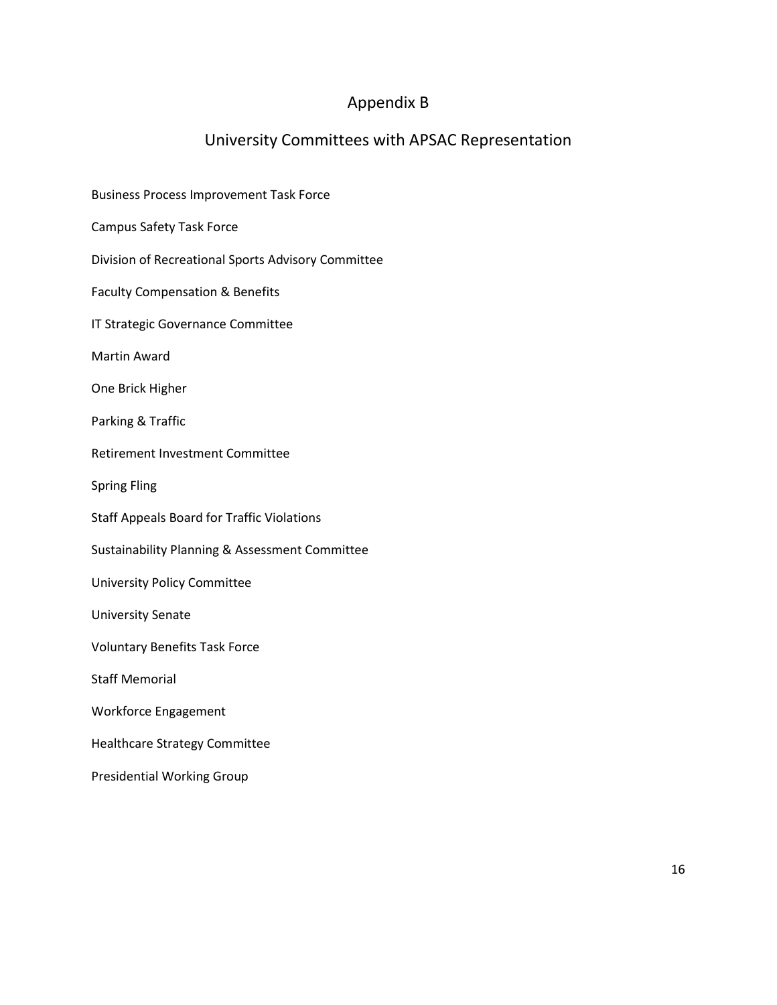## Appendix B

## University Committees with APSAC Representation

| <b>Business Process Improvement Task Force</b>     |  |
|----------------------------------------------------|--|
| <b>Campus Safety Task Force</b>                    |  |
| Division of Recreational Sports Advisory Committee |  |
| <b>Faculty Compensation &amp; Benefits</b>         |  |
| IT Strategic Governance Committee                  |  |
| <b>Martin Award</b>                                |  |
| One Brick Higher                                   |  |
| Parking & Traffic                                  |  |
| Retirement Investment Committee                    |  |
| <b>Spring Fling</b>                                |  |
| <b>Staff Appeals Board for Traffic Violations</b>  |  |
| Sustainability Planning & Assessment Committee     |  |
| University Policy Committee                        |  |
| <b>University Senate</b>                           |  |
| <b>Voluntary Benefits Task Force</b>               |  |
| <b>Staff Memorial</b>                              |  |
| <b>Workforce Engagement</b>                        |  |
| <b>Healthcare Strategy Committee</b>               |  |
| <b>Presidential Working Group</b>                  |  |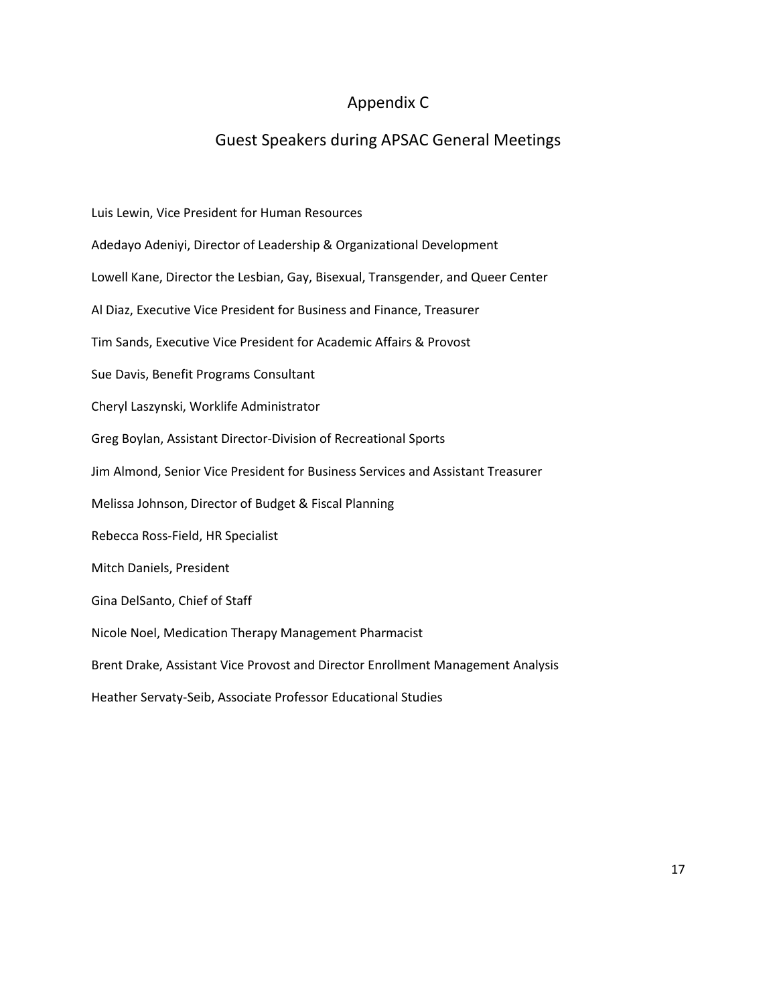## Appendix C

## Guest Speakers during APSAC General Meetings

Luis Lewin, Vice President for Human Resources Adedayo Adeniyi, Director of Leadership & Organizational Development Lowell Kane, Director the Lesbian, Gay, Bisexual, Transgender, and Queer Center Al Diaz, Executive Vice President for Business and Finance, Treasurer Tim Sands, Executive Vice President for Academic Affairs & Provost Sue Davis, Benefit Programs Consultant Cheryl Laszynski, Worklife Administrator Greg Boylan, Assistant Director-Division of Recreational Sports Jim Almond, Senior Vice President for Business Services and Assistant Treasurer Melissa Johnson, Director of Budget & Fiscal Planning Rebecca Ross-Field, HR Specialist Mitch Daniels, President Gina DelSanto, Chief of Staff Nicole Noel, Medication Therapy Management Pharmacist Brent Drake, Assistant Vice Provost and Director Enrollment Management Analysis Heather Servaty-Seib, Associate Professor Educational Studies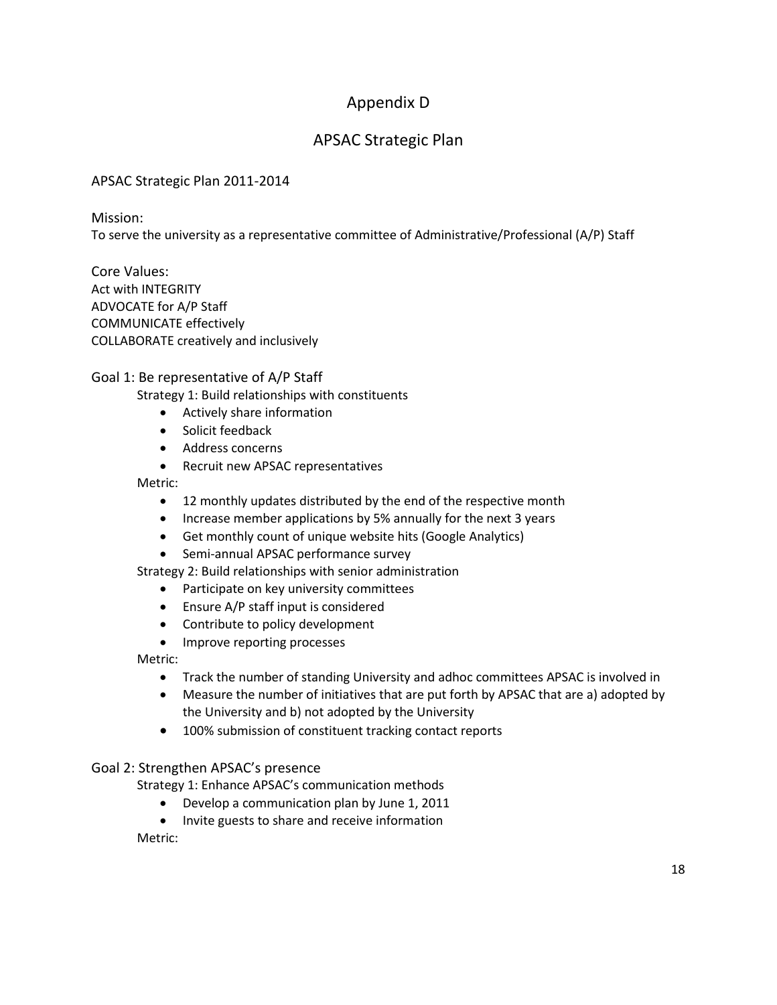## Appendix D

## APSAC Strategic Plan

### APSAC Strategic Plan 2011-2014

Mission:

To serve the university as a representative committee of Administrative/Professional (A/P) Staff

Core Values: Act with INTEGRITY ADVOCATE for A/P Staff COMMUNICATE effectively COLLABORATE creatively and inclusively

#### Goal 1: Be representative of A/P Staff

Strategy 1: Build relationships with constituents

- Actively share information
- Solicit feedback
- Address concerns
- Recruit new APSAC representatives

Metric:

- 12 monthly updates distributed by the end of the respective month
- Increase member applications by 5% annually for the next 3 years
- Get monthly count of unique website hits (Google Analytics)
- Semi-annual APSAC performance survey

Strategy 2: Build relationships with senior administration

- Participate on key university committees
- Ensure A/P staff input is considered
- Contribute to policy development
- Improve reporting processes

Metric:

- Track the number of standing University and adhoc committees APSAC is involved in
- Measure the number of initiatives that are put forth by APSAC that are a) adopted by the University and b) not adopted by the University
- 100% submission of constituent tracking contact reports

#### Goal 2: Strengthen APSAC's presence

Strategy 1: Enhance APSAC's communication methods

- Develop a communication plan by June 1, 2011
- Invite guests to share and receive information

Metric: